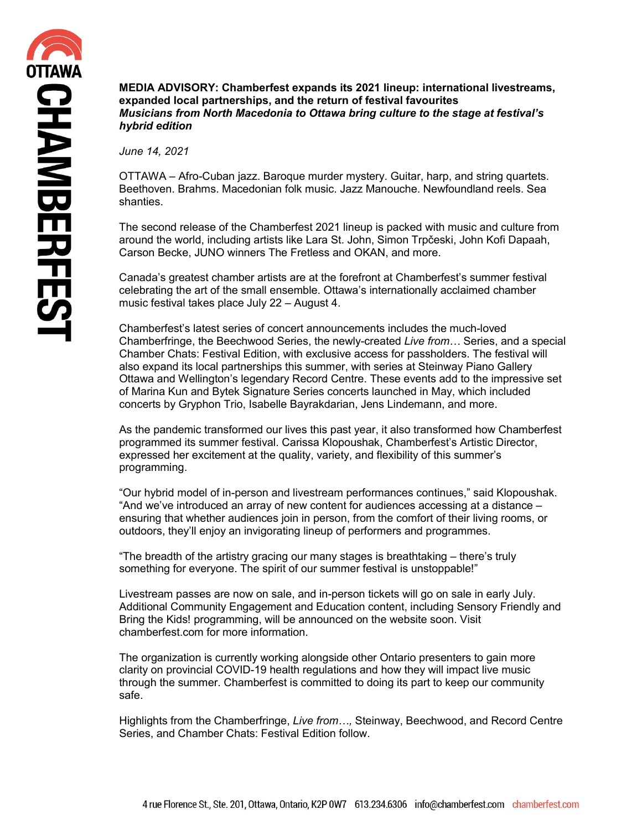**MEDIA ADVISORY: Chamberfest expands its 2021 lineup: international livestreams, expanded local partnerships, and the return of festival favourites** *Musicians from North Macedonia to Ottawa bring culture to the stage at festival's hybrid edition*

*June 14, 2021*

OTTAWA – Afro-Cuban jazz. Baroque murder mystery. Guitar, harp, and string quartets. Beethoven. Brahms. Macedonian folk music. Jazz Manouche. Newfoundland reels. Sea shanties.

The second release of the Chamberfest 2021 lineup is packed with music and culture from around the world, including artists like Lara St. John, Simon Trpčeski, John Kofi Dapaah, Carson Becke, JUNO winners The Fretless and OKAN, and more.

Canada's greatest chamber artists are at the forefront at Chamberfest's summer festival celebrating the art of the small ensemble. Ottawa's internationally acclaimed chamber music festival takes place July 22 – August 4.

Chamberfest's latest series of concert announcements includes the much-loved Chamberfringe, the Beechwood Series, the newly-created *Live from…* Series, and a special Chamber Chats: Festival Edition, with exclusive access for passholders. The festival will also expand its local partnerships this summer, with series at Steinway Piano Gallery Ottawa and Wellington's legendary Record Centre. These events add to the impressive set of Marina Kun and Bytek Signature Series concerts launched in May, which included concerts by Gryphon Trio, Isabelle Bayrakdarian, Jens Lindemann, and more.

As the pandemic transformed our lives this past year, it also transformed how Chamberfest programmed its summer festival. Carissa Klopoushak, Chamberfest's Artistic Director, expressed her excitement at the quality, variety, and flexibility of this summer's programming.

"Our hybrid model of in-person and livestream performances continues," said Klopoushak. "And we've introduced an array of new content for audiences accessing at a distance – ensuring that whether audiences join in person, from the comfort of their living rooms, or outdoors, they'll enjoy an invigorating lineup of performers and programmes.

"The breadth of the artistry gracing our many stages is breathtaking – there's truly something for everyone. The spirit of our summer festival is unstoppable!"

Livestream passes are now on sale, and in-person tickets will go on sale in early July. Additional Community Engagement and Education content, including Sensory Friendly and Bring the Kids! programming, will be announced on the website soon. Visit chamberfest.com for more information.

The organization is currently working alongside other Ontario presenters to gain more clarity on provincial COVID-19 health regulations and how they will impact live music through the summer. Chamberfest is committed to doing its part to keep our community safe.

Highlights from the Chamberfringe, *Live from…,* Steinway, Beechwood, and Record Centre Series, and Chamber Chats: Festival Edition follow.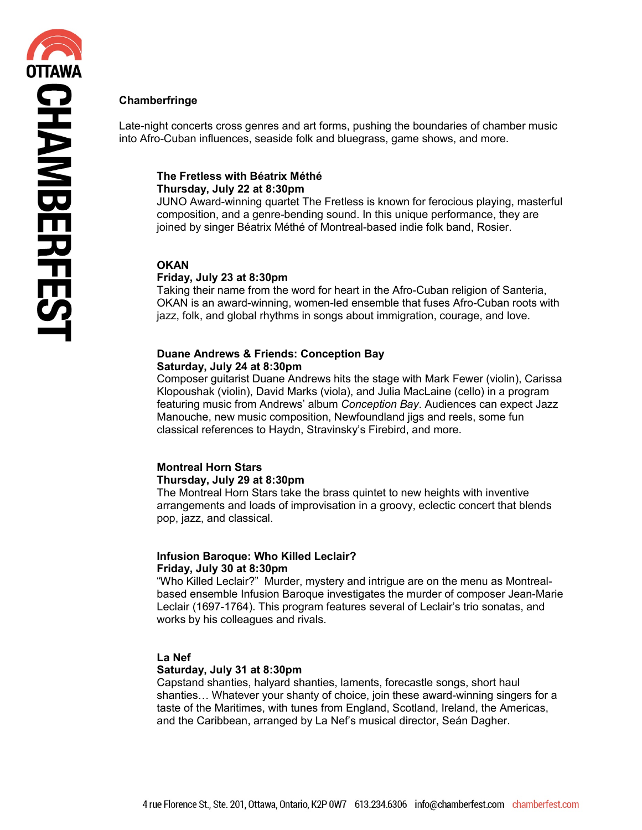# **Chamberfringe**

Late-night concerts cross genres and art forms, pushing the boundaries of chamber music into Afro-Cuban influences, seaside folk and bluegrass, game shows, and more.

#### **The Fretless with Béatrix Méthé Thursday, July 22 at 8:30pm**

JUNO Award-winning quartet The Fretless is known for ferocious playing, masterful composition, and a genre-bending sound. In this unique performance, they are joined by singer Béatrix Méthé of Montreal-based indie folk band, Rosier.

#### **OKAN**

#### **Friday, July 23 at 8:30pm**

Taking their name from the word for heart in the Afro-Cuban religion of Santeria, OKAN is an award-winning, women-led ensemble that fuses Afro-Cuban roots with jazz, folk, and global rhythms in songs about immigration, courage, and love.

# **Duane Andrews & Friends: Conception Bay Saturday, July 24 at 8:30pm**

Composer guitarist Duane Andrews hits the stage with Mark Fewer (violin), Carissa Klopoushak (violin), David Marks (viola), and Julia MacLaine (cello) in a program featuring music from Andrews' album *Conception Bay*. Audiences can expect Jazz Manouche, new music composition, Newfoundland jigs and reels, some fun classical references to Haydn, Stravinsky's Firebird, and more.

# **Montreal Horn Stars Thursday, July 29 at 8:30pm**

The Montreal Horn Stars take the brass quintet to new heights with inventive arrangements and loads of improvisation in a groovy, eclectic concert that blends pop, jazz, and classical.

# **Infusion Baroque: Who Killed Leclair? Friday, July 30 at 8:30pm**

"Who Killed Leclair?" Murder, mystery and intrigue are on the menu as Montrealbased ensemble Infusion Baroque investigates the murder of composer Jean-Marie Leclair (1697-1764). This program features several of Leclair's trio sonatas, and works by his colleagues and rivals.

#### **La Nef**

#### **Saturday, July 31 at 8:30pm**

Capstand shanties, halyard shanties, laments, forecastle songs, short haul shanties… Whatever your shanty of choice, join these award-winning singers for a taste of the Maritimes, with tunes from England, Scotland, Ireland, the Americas, and the Caribbean, arranged by La Nef's musical director, Seán Dagher.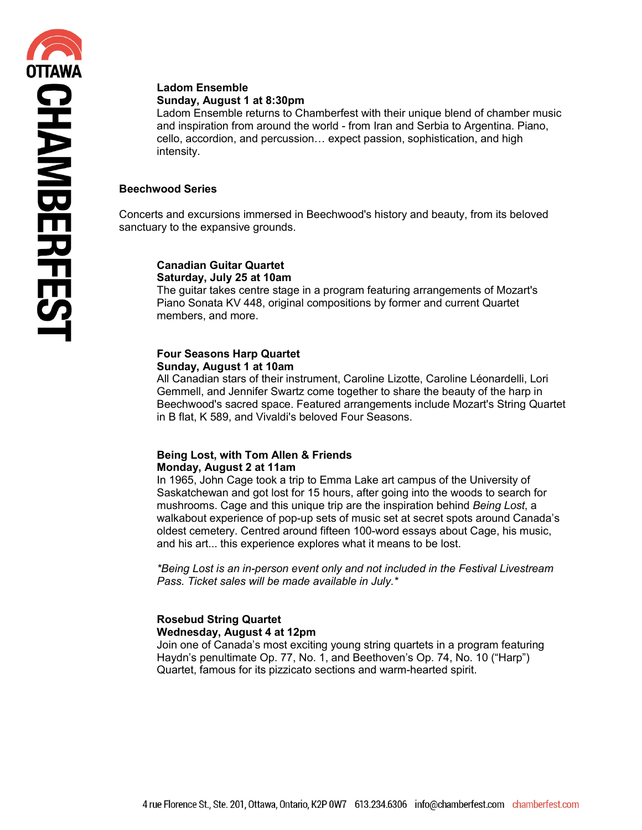# **Ladom Ensemble**

**Sunday, August 1 at 8:30pm**

Ladom Ensemble returns to Chamberfest with their unique blend of chamber music and inspiration from around the world - from Iran and Serbia to Argentina. Piano, cello, accordion, and percussion… expect passion, sophistication, and high intensity.

# **Beechwood Series**

Concerts and excursions immersed in Beechwood's history and beauty, from its beloved sanctuary to the expansive grounds.

#### **Canadian Guitar Quartet Saturday, July 25 at 10am**

The guitar takes centre stage in a program featuring arrangements of Mozart's Piano Sonata KV 448, original compositions by former and current Quartet members, and more.

### **Four Seasons Harp Quartet Sunday, August 1 at 10am**

All Canadian stars of their instrument, Caroline Lizotte, Caroline Léonardelli, Lori Gemmell, and Jennifer Swartz come together to share the beauty of the harp in Beechwood's sacred space. Featured arrangements include Mozart's String Quartet in B flat, K 589, and Vivaldi's beloved Four Seasons.

# **Being Lost, with Tom Allen & Friends Monday, August 2 at 11am**

In 1965, John Cage took a trip to Emma Lake art campus of the University of Saskatchewan and got lost for 15 hours, after going into the woods to search for mushrooms. Cage and this unique trip are the inspiration behind *Being Lost*, a walkabout experience of pop-up sets of music set at secret spots around Canada's oldest cemetery. Centred around fifteen 100-word essays about Cage, his music, and his art... this experience explores what it means to be lost.

*\*Being Lost is an in-person event only and not included in the Festival Livestream Pass. Ticket sales will be made available in July.\** 

# **Rosebud String Quartet Wednesday, August 4 at 12pm**

Join one of Canada's most exciting young string quartets in a program featuring Haydn's penultimate Op. 77, No. 1, and Beethoven's Op. 74, No. 10 ("Harp") Quartet, famous for its pizzicato sections and warm-hearted spirit.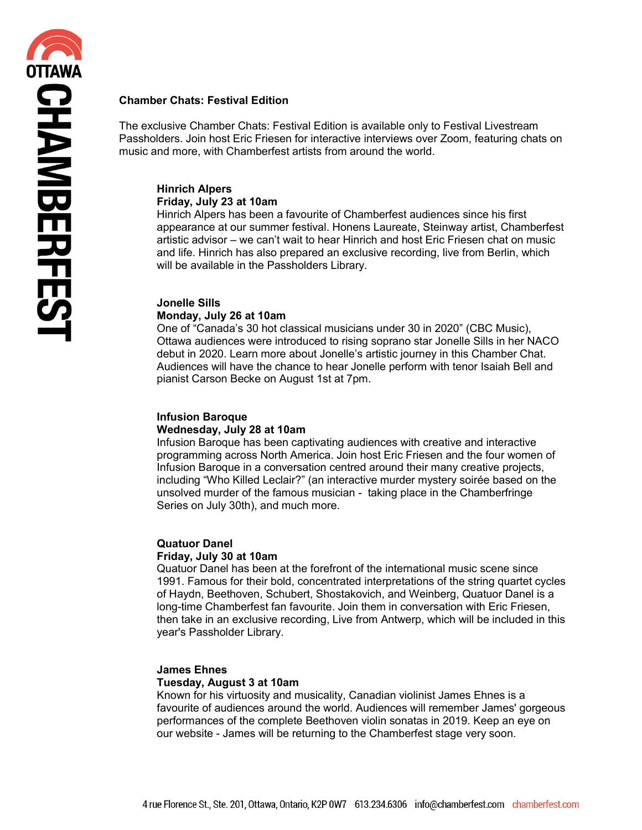# **Chamber Chats: Festival Edition**

The exclusive Chamber Chats: Festival Edition is available only to Festival Livestream Passholders. Join host Eric Friesen for interactive interviews over Zoom, featuring chats on music and more, with Chamberfest artists from around the world.

#### **Hinrich Alpers Friday, July 23 at 10am**

Hinrich Alpers has been a favourite of Chamberfest audiences since his first appearance at our summer festival. Honens Laureate, Steinway artist, Chamberfest artistic advisor – we can't wait to hear Hinrich and host Eric Friesen chat on music and life. Hinrich has also prepared an exclusive recording, live from Berlin, which will be available in the Passholders Library.

# **Jonelle Sills**

#### **Monday, July 26 at 10am**

One of "Canada's 30 hot classical musicians under 30 in 2020" (CBC Music), Ottawa audiences were introduced to rising soprano star Jonelle Sills in her NACO debut in 2020. Learn more about Jonelle's artistic journey in this Chamber Chat. Audiences will have the chance to hear Jonelle perform with tenor Isaiah Bell and pianist Carson Becke on August 1st at 7pm.

#### **Infusion Baroque Wednesday, July 28 at 10am**

Infusion Baroque has been captivating audiences with creative and interactive programming across North America. Join host Eric Friesen and the four women of Infusion Baroque in a conversation centred around their many creative projects, including "Who Killed Leclair?" (an interactive murder mystery soirée based on the unsolved murder of the famous musician - taking place in the Chamberfringe Series on July 30th), and much more.

#### **Quatuor Danel Friday, July 30 at 10am**

Quatuor Danel has been at the forefront of the international music scene since 1991. Famous for their bold, concentrated interpretations of the string quartet cycles of Haydn, Beethoven, Schubert, Shostakovich, and Weinberg, Quatuor Danel is a long-time Chamberfest fan favourite. Join them in conversation with Eric Friesen, then take in an exclusive recording, Live from Antwerp, which will be included in this year's Passholder Library.

# **James Ehnes**

# **Tuesday, August 3 at 10am**

Known for his virtuosity and musicality, Canadian violinist James Ehnes is a favourite of audiences around the world. Audiences will remember James' gorgeous performances of the complete Beethoven violin sonatas in 2019. Keep an eye on our website - James will be returning to the Chamberfest stage very soon.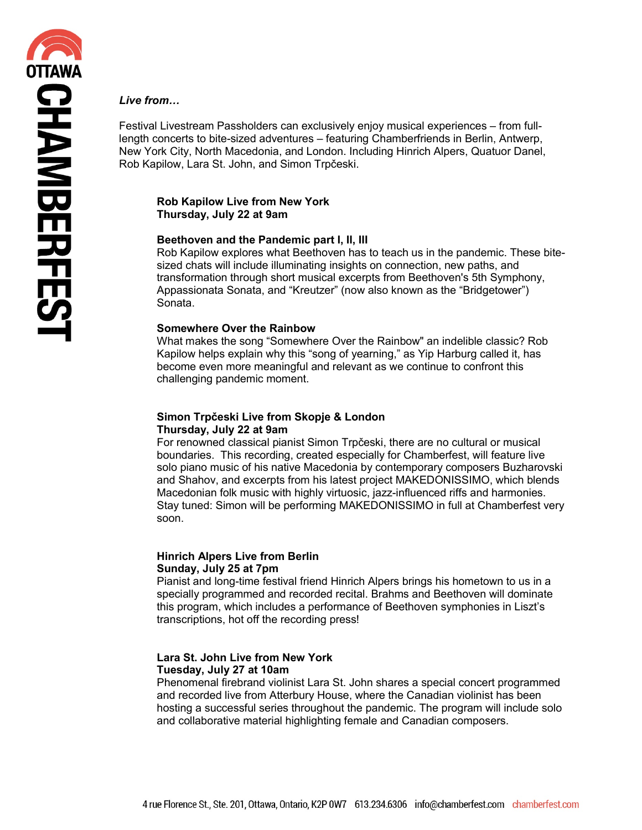#### *Live from…*

Festival Livestream Passholders can exclusively enjoy musical experiences – from fulllength concerts to bite-sized adventures – featuring Chamberfriends in Berlin, Antwerp, New York City, North Macedonia, and London. Including Hinrich Alpers, Quatuor Danel, Rob Kapilow, Lara St. John, and Simon Trpčeski.

#### **Rob Kapilow Live from New York Thursday, July 22 at 9am**

#### **Beethoven and the Pandemic part I, II, III**

Rob Kapilow explores what Beethoven has to teach us in the pandemic. These bitesized chats will include illuminating insights on connection, new paths, and transformation through short musical excerpts from Beethoven's 5th Symphony, Appassionata Sonata, and "Kreutzer" (now also known as the "Bridgetower") Sonata.

#### **Somewhere Over the Rainbow**

What makes the song "Somewhere Over the Rainbow" an indelible classic? Rob Kapilow helps explain why this "song of yearning," as Yip Harburg called it, has become even more meaningful and relevant as we continue to confront this challenging pandemic moment.

#### **Simon Trpčeski Live from Skopje & London Thursday, July 22 at 9am**

For renowned classical pianist Simon Trpčeski, there are no cultural or musical boundaries. This recording, created especially for Chamberfest, will feature live solo piano music of his native Macedonia by contemporary composers Buzharovski and Shahov, and excerpts from his latest project MAKEDONISSIMO, which blends Macedonian folk music with highly virtuosic, jazz-influenced riffs and harmonies. Stay tuned: Simon will be performing MAKEDONISSIMO in full at Chamberfest very soon.

#### **Hinrich Alpers Live from Berlin Sunday, July 25 at 7pm**

Pianist and long-time festival friend Hinrich Alpers brings his hometown to us in a specially programmed and recorded recital. Brahms and Beethoven will dominate this program, which includes a performance of Beethoven symphonies in Liszt's transcriptions, hot off the recording press!

#### **Lara St. John Live from New York Tuesday, July 27 at 10am**

Phenomenal firebrand violinist Lara St. John shares a special concert programmed and recorded live from Atterbury House, where the Canadian violinist has been hosting a successful series throughout the pandemic. The program will include solo and collaborative material highlighting female and Canadian composers.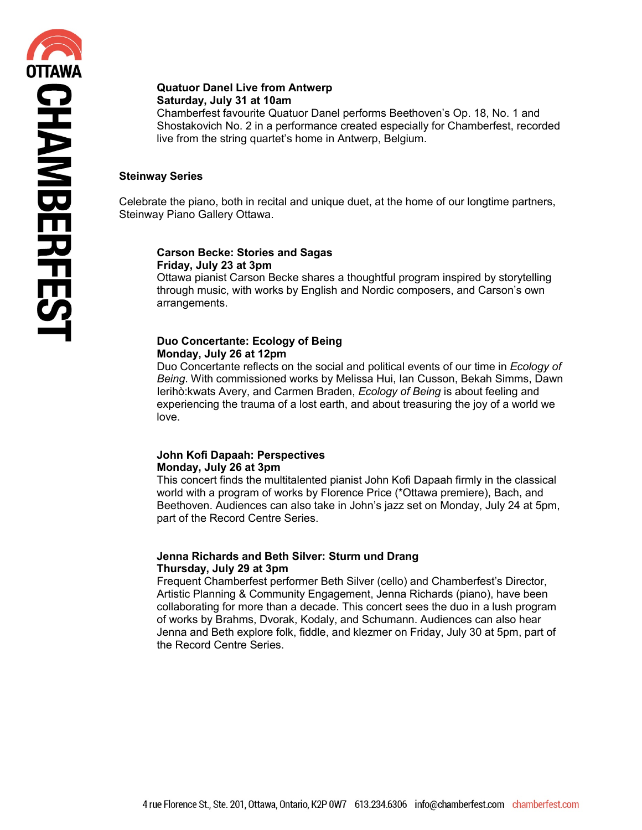#### **Quatuor Danel Live from Antwerp Saturday, July 31 at 10am**

Chamberfest favourite Quatuor Danel performs Beethoven's Op. 18, No. 1 and Shostakovich No. 2 in a performance created especially for Chamberfest, recorded live from the string quartet's home in Antwerp, Belgium.

# **Steinway Series**

Celebrate the piano, both in recital and unique duet, at the home of our longtime partners, Steinway Piano Gallery Ottawa.

#### **Carson Becke: Stories and Sagas Friday, July 23 at 3pm**

Ottawa pianist Carson Becke shares a thoughtful program inspired by storytelling through music, with works by English and Nordic composers, and Carson's own arrangements.

#### **Duo Concertante: Ecology of Being Monday, July 26 at 12pm**

Duo Concertante reflects on the social and political events of our time in *Ecology of Being*. With commissioned works by Melissa Hui, Ian Cusson, Bekah Simms, Dawn Ierihò:kwats Avery, and Carmen Braden, *Ecology of Being* is about feeling and experiencing the trauma of a lost earth, and about treasuring the joy of a world we love.

#### **John Kofi Dapaah: Perspectives Monday, July 26 at 3pm**

This concert finds the multitalented pianist John Kofi Dapaah firmly in the classical world with a program of works by Florence Price (\*Ottawa premiere), Bach, and Beethoven. Audiences can also take in John's jazz set on Monday, July 24 at 5pm, part of the Record Centre Series.

# **Jenna Richards and Beth Silver: Sturm und Drang Thursday, July 29 at 3pm**

Frequent Chamberfest performer Beth Silver (cello) and Chamberfest's Director, Artistic Planning & Community Engagement, Jenna Richards (piano), have been collaborating for more than a decade. This concert sees the duo in a lush program of works by Brahms, Dvorak, Kodaly, and Schumann. Audiences can also hear Jenna and Beth explore folk, fiddle, and klezmer on Friday, July 30 at 5pm, part of the Record Centre Series.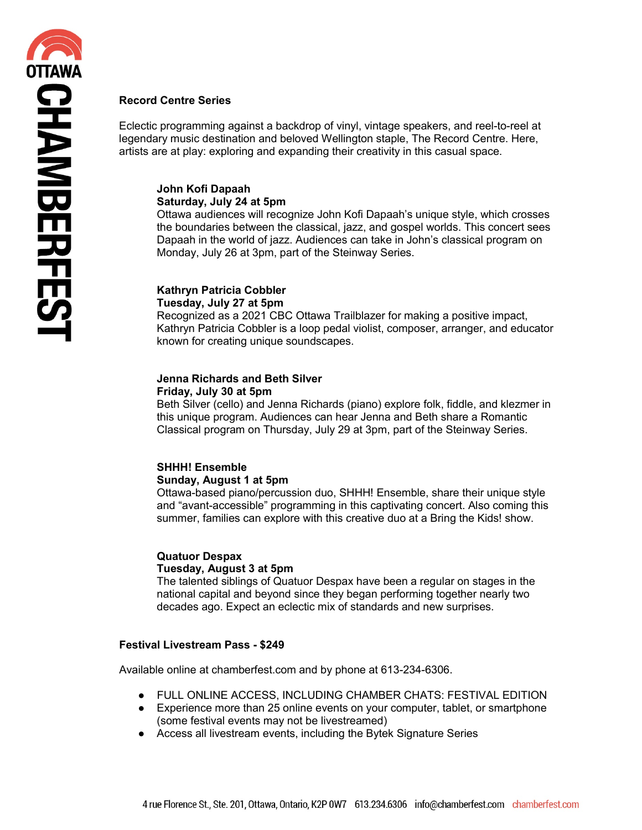# **Record Centre Series**

Eclectic programming against a backdrop of vinyl, vintage speakers, and reel-to-reel at legendary music destination and beloved Wellington staple, The Record Centre. Here, artists are at play: exploring and expanding their creativity in this casual space.

#### **John Kofi Dapaah Saturday, July 24 at 5pm**

Ottawa audiences will recognize John Kofi Dapaah's unique style, which crosses the boundaries between the classical, jazz, and gospel worlds. This concert sees Dapaah in the world of jazz. Audiences can take in John's classical program on Monday, July 26 at 3pm, part of the Steinway Series.

# **Kathryn Patricia Cobbler**

#### **Tuesday, July 27 at 5pm**

Recognized as a 2021 CBC Ottawa Trailblazer for making a positive impact, Kathryn Patricia Cobbler is a loop pedal violist, composer, arranger, and educator known for creating unique soundscapes.

# **Jenna Richards and Beth Silver**

#### **Friday, July 30 at 5pm**

Beth Silver (cello) and Jenna Richards (piano) explore folk, fiddle, and klezmer in this unique program. Audiences can hear Jenna and Beth share a Romantic Classical program on Thursday, July 29 at 3pm, part of the Steinway Series.

# **SHHH! Ensemble Sunday, August 1 at 5pm**

Ottawa-based piano/percussion duo, SHHH! Ensemble, share their unique style and "avant-accessible" programming in this captivating concert. Also coming this summer, families can explore with this creative duo at a Bring the Kids! show.

#### **Quatuor Despax Tuesday, August 3 at 5pm**

The talented siblings of Quatuor Despax have been a regular on stages in the national capital and beyond since they began performing together nearly two decades ago. Expect an eclectic mix of standards and new surprises.

# **Festival Livestream Pass - \$249**

Available online at chamberfest.com and by phone at 613-234-6306.

- FULL ONLINE ACCESS, INCLUDING CHAMBER CHATS: FESTIVAL EDITION
- Experience more than 25 online events on your computer, tablet, or smartphone (some festival events may not be livestreamed)
- Access all livestream events, including the Bytek Signature Series